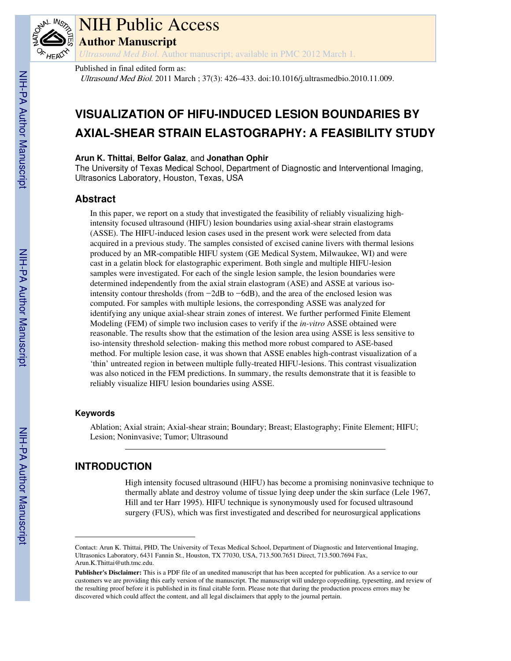

# NIH Public Access

**Author Manuscript**

*Ultrasound Med Biol*. Author manuscript; available in PMC 2012 March 1.

Published in final edited form as:

Ultrasound Med Biol. 2011 March ; 37(3): 426–433. doi:10.1016/j.ultrasmedbio.2010.11.009.

# **VISUALIZATION OF HIFU-INDUCED LESION BOUNDARIES BY AXIAL-SHEAR STRAIN ELASTOGRAPHY: A FEASIBILITY STUDY**

## **Arun K. Thittai**, **Belfor Galaz**, and **Jonathan Ophir**

The University of Texas Medical School, Department of Diagnostic and Interventional Imaging, Ultrasonics Laboratory, Houston, Texas, USA

# **Abstract**

In this paper, we report on a study that investigated the feasibility of reliably visualizing highintensity focused ultrasound (HIFU) lesion boundaries using axial-shear strain elastograms (ASSE). The HIFU-induced lesion cases used in the present work were selected from data acquired in a previous study. The samples consisted of excised canine livers with thermal lesions produced by an MR-compatible HIFU system (GE Medical System, Milwaukee, WI) and were cast in a gelatin block for elastographic experiment. Both single and multiple HIFU-lesion samples were investigated. For each of the single lesion sample, the lesion boundaries were determined independently from the axial strain elastogram (ASE) and ASSE at various isointensity contour thresholds (from −2dB to −6dB), and the area of the enclosed lesion was computed. For samples with multiple lesions, the corresponding ASSE was analyzed for identifying any unique axial-shear strain zones of interest. We further performed Finite Element Modeling (FEM) of simple two inclusion cases to verify if the *in-vitro* ASSE obtained were reasonable. The results show that the estimation of the lesion area using ASSE is less sensitive to iso-intensity threshold selection- making this method more robust compared to ASE-based method. For multiple lesion case, it was shown that ASSE enables high-contrast visualization of a 'thin' untreated region in between multiple fully-treated HIFU-lesions. This contrast visualization was also noticed in the FEM predictions. In summary, the results demonstrate that it is feasible to reliably visualize HIFU lesion boundaries using ASSE.

# **Keywords**

Ablation; Axial strain; Axial-shear strain; Boundary; Breast; Elastography; Finite Element; HIFU; Lesion; Noninvasive; Tumor; Ultrasound

# **INTRODUCTION**

High intensity focused ultrasound (HIFU) has become a promising noninvasive technique to thermally ablate and destroy volume of tissue lying deep under the skin surface (Lele 1967, Hill and ter Harr 1995). HIFU technique is synonymously used for focused ultrasound surgery (FUS), which was first investigated and described for neurosurgical applications

Contact: Arun K. Thittai, PHD, The University of Texas Medical School, Department of Diagnostic and Interventional Imaging, Ultrasonics Laboratory, 6431 Fannin St., Houston, TX 77030, USA, 713.500.7651 Direct, 713.500.7694 Fax, Arun.K.Thittai@uth.tmc.edu.

**Publisher's Disclaimer:** This is a PDF file of an unedited manuscript that has been accepted for publication. As a service to our customers we are providing this early version of the manuscript. The manuscript will undergo copyediting, typesetting, and review of the resulting proof before it is published in its final citable form. Please note that during the production process errors may be discovered which could affect the content, and all legal disclaimers that apply to the journal pertain.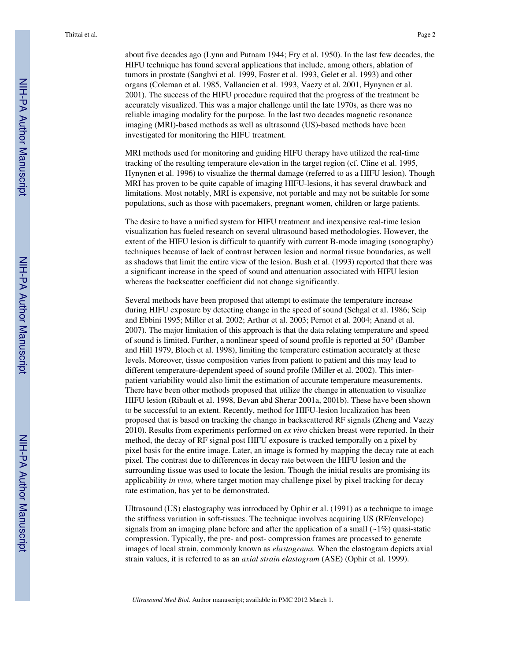about five decades ago (Lynn and Putnam 1944; Fry et al. 1950). In the last few decades, the HIFU technique has found several applications that include, among others, ablation of tumors in prostate (Sanghvi et al. 1999, Foster et al. 1993, Gelet et al. 1993) and other organs (Coleman et al. 1985, Vallancien et al. 1993, Vaezy et al. 2001, Hynynen et al. 2001). The success of the HIFU procedure required that the progress of the treatment be accurately visualized. This was a major challenge until the late 1970s, as there was no reliable imaging modality for the purpose. In the last two decades magnetic resonance imaging (MRI)-based methods as well as ultrasound (US)-based methods have been investigated for monitoring the HIFU treatment.

MRI methods used for monitoring and guiding HIFU therapy have utilized the real-time tracking of the resulting temperature elevation in the target region (cf. Cline et al. 1995, Hynynen et al. 1996) to visualize the thermal damage (referred to as a HIFU lesion). Though MRI has proven to be quite capable of imaging HIFU-lesions, it has several drawback and limitations. Most notably, MRI is expensive, not portable and may not be suitable for some populations, such as those with pacemakers, pregnant women, children or large patients.

The desire to have a unified system for HIFU treatment and inexpensive real-time lesion visualization has fueled research on several ultrasound based methodologies. However, the extent of the HIFU lesion is difficult to quantify with current B-mode imaging (sonography) techniques because of lack of contrast between lesion and normal tissue boundaries, as well as shadows that limit the entire view of the lesion. Bush et al. (1993) reported that there was a significant increase in the speed of sound and attenuation associated with HIFU lesion whereas the backscatter coefficient did not change significantly.

Several methods have been proposed that attempt to estimate the temperature increase during HIFU exposure by detecting change in the speed of sound (Sehgal et al. 1986; Seip and Ebbini 1995; Miller et al. 2002; Arthur et al. 2003; Pernot et al. 2004; Anand et al. 2007). The major limitation of this approach is that the data relating temperature and speed of sound is limited. Further, a nonlinear speed of sound profile is reported at 50° (Bamber and Hill 1979, Bloch et al. 1998), limiting the temperature estimation accurately at these levels. Moreover, tissue composition varies from patient to patient and this may lead to different temperature-dependent speed of sound profile (Miller et al. 2002). This interpatient variability would also limit the estimation of accurate temperature measurements. There have been other methods proposed that utilize the change in attenuation to visualize HIFU lesion (Ribault et al. 1998, Bevan abd Sherar 2001a, 2001b). These have been shown to be successful to an extent. Recently, method for HIFU-lesion localization has been proposed that is based on tracking the change in backscattered RF signals (Zheng and Vaezy 2010). Results from experiments performed on *ex vivo* chicken breast were reported. In their method, the decay of RF signal post HIFU exposure is tracked temporally on a pixel by pixel basis for the entire image. Later, an image is formed by mapping the decay rate at each pixel. The contrast due to differences in decay rate between the HIFU lesion and the surrounding tissue was used to locate the lesion. Though the initial results are promising its applicability *in vivo,* where target motion may challenge pixel by pixel tracking for decay rate estimation, has yet to be demonstrated.

Ultrasound (US) elastography was introduced by Ophir et al. (1991) as a technique to image the stiffness variation in soft-tissues. The technique involves acquiring US (RF/envelope) signals from an imaging plane before and after the application of a small  $(\sim 1\%)$  quasi-static compression. Typically, the pre- and post- compression frames are processed to generate images of local strain, commonly known as *elastograms.* When the elastogram depicts axial strain values, it is referred to as an *axial strain elastogram* (ASE) (Ophir et al. 1999).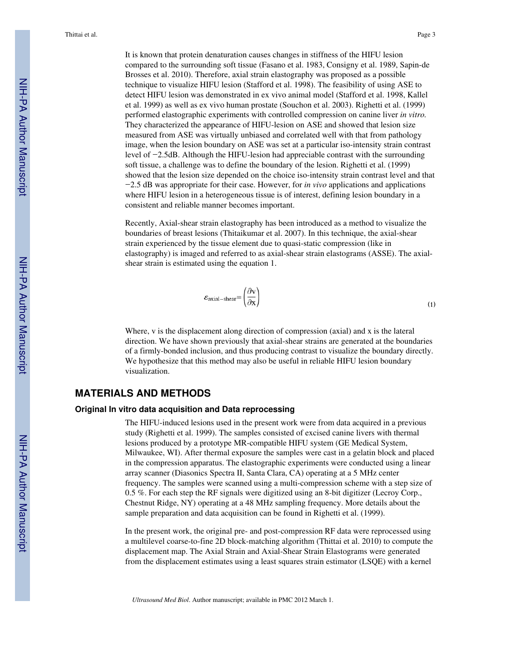It is known that protein denaturation causes changes in stiffness of the HIFU lesion compared to the surrounding soft tissue (Fasano et al. 1983, Consigny et al. 1989, Sapin-de Brosses et al. 2010). Therefore, axial strain elastography was proposed as a possible technique to visualize HIFU lesion (Stafford et al. 1998). The feasibility of using ASE to detect HIFU lesion was demonstrated in ex vivo animal model (Stafford et al. 1998, Kallel et al. 1999) as well as ex vivo human prostate (Souchon et al. 2003). Righetti et al. (1999) performed elastographic experiments with controlled compression on canine liver *in vitro.* They characterized the appearance of HIFU-lesion on ASE and showed that lesion size measured from ASE was virtually unbiased and correlated well with that from pathology image, when the lesion boundary on ASE was set at a particular iso-intensity strain contrast level of −2.5dB. Although the HIFU-lesion had appreciable contrast with the surrounding soft tissue, a challenge was to define the boundary of the lesion. Righetti et al. (1999) showed that the lesion size depended on the choice iso-intensity strain contrast level and that −2.5 dB was appropriate for their case. However, for *in vivo* applications and applications where HIFU lesion in a heterogeneous tissue is of interest, defining lesion boundary in a consistent and reliable manner becomes important.

Recently, Axial-shear strain elastography has been introduced as a method to visualize the boundaries of breast lesions (Thitaikumar et al. 2007). In this technique, the axial-shear strain experienced by the tissue element due to quasi-static compression (like in elastography) is imaged and referred to as axial-shear strain elastograms (ASSE). The axialshear strain is estimated using the equation 1.

$$
\varepsilon_{\text{axial-shear}} = \left(\frac{\partial \mathbf{v}}{\partial \mathbf{x}}\right) \tag{1}
$$

Where, v is the displacement along direction of compression (axial) and x is the lateral direction. We have shown previously that axial-shear strains are generated at the boundaries of a firmly-bonded inclusion, and thus producing contrast to visualize the boundary directly. We hypothesize that this method may also be useful in reliable HIFU lesion boundary visualization.

# **MATERIALS AND METHODS**

#### **Original In vitro data acquisition and Data reprocessing**

The HIFU-induced lesions used in the present work were from data acquired in a previous study (Righetti et al. 1999). The samples consisted of excised canine livers with thermal lesions produced by a prototype MR-compatible HIFU system (GE Medical System, Milwaukee, WI). After thermal exposure the samples were cast in a gelatin block and placed in the compression apparatus. The elastographic experiments were conducted using a linear array scanner (Diasonics Spectra II, Santa Clara, CA) operating at a 5 MHz center frequency. The samples were scanned using a multi-compression scheme with a step size of 0.5 %. For each step the RF signals were digitized using an 8-bit digitizer (Lecroy Corp., Chestnut Ridge, NY) operating at a 48 MHz sampling frequency. More details about the sample preparation and data acquisition can be found in Righetti et al. (1999).

In the present work, the original pre- and post-compression RF data were reprocessed using a multilevel coarse-to-fine 2D block-matching algorithm (Thittai et al. 2010) to compute the displacement map. The Axial Strain and Axial-Shear Strain Elastograms were generated from the displacement estimates using a least squares strain estimator (LSQE) with a kernel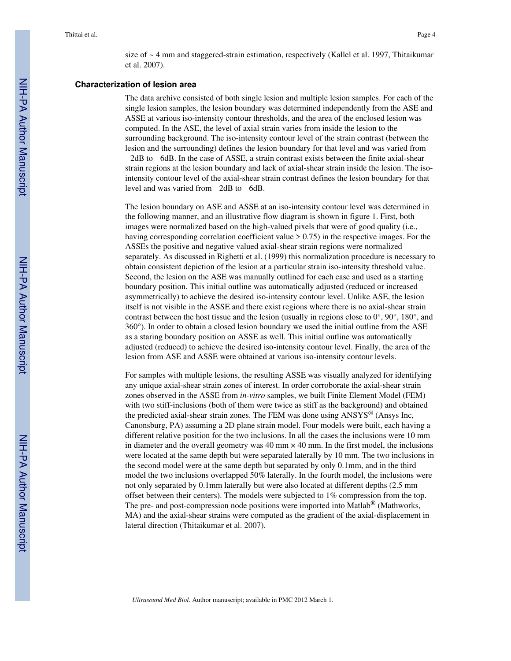size of ~ 4 mm and staggered-strain estimation, respectively (Kallel et al. 1997, Thitaikumar et al. 2007).

## **Characterization of lesion area**

The data archive consisted of both single lesion and multiple lesion samples. For each of the single lesion samples, the lesion boundary was determined independently from the ASE and ASSE at various iso-intensity contour thresholds, and the area of the enclosed lesion was computed. In the ASE, the level of axial strain varies from inside the lesion to the surrounding background. The iso-intensity contour level of the strain contrast (between the lesion and the surrounding) defines the lesion boundary for that level and was varied from −2dB to −6dB. In the case of ASSE, a strain contrast exists between the finite axial-shear strain regions at the lesion boundary and lack of axial-shear strain inside the lesion. The isointensity contour level of the axial-shear strain contrast defines the lesion boundary for that level and was varied from −2dB to −6dB.

The lesion boundary on ASE and ASSE at an iso-intensity contour level was determined in the following manner, and an illustrative flow diagram is shown in figure 1. First, both images were normalized based on the high-valued pixels that were of good quality (i.e., having corresponding correlation coefficient value  $> 0.75$ ) in the respective images. For the ASSEs the positive and negative valued axial-shear strain regions were normalized separately. As discussed in Righetti et al. (1999) this normalization procedure is necessary to obtain consistent depiction of the lesion at a particular strain iso-intensity threshold value. Second, the lesion on the ASE was manually outlined for each case and used as a starting boundary position. This initial outline was automatically adjusted (reduced or increased asymmetrically) to achieve the desired iso-intensity contour level. Unlike ASE, the lesion itself is not visible in the ASSE and there exist regions where there is no axial-shear strain contrast between the host tissue and the lesion (usually in regions close to 0°, 90°, 180°, and 360°). In order to obtain a closed lesion boundary we used the initial outline from the ASE as a staring boundary position on ASSE as well. This initial outline was automatically adjusted (reduced) to achieve the desired iso-intensity contour level. Finally, the area of the lesion from ASE and ASSE were obtained at various iso-intensity contour levels.

For samples with multiple lesions, the resulting ASSE was visually analyzed for identifying any unique axial-shear strain zones of interest. In order corroborate the axial-shear strain zones observed in the ASSE from *in-vitro* samples, we built Finite Element Model (FEM) with two stiff-inclusions (both of them were twice as stiff as the background) and obtained the predicted axial-shear strain zones. The FEM was done using ANSYS® (Ansys Inc, Canonsburg, PA) assuming a 2D plane strain model. Four models were built, each having a different relative position for the two inclusions. In all the cases the inclusions were 10 mm in diameter and the overall geometry was  $40 \text{ mm} \times 40 \text{ mm}$ . In the first model, the inclusions were located at the same depth but were separated laterally by 10 mm. The two inclusions in the second model were at the same depth but separated by only 0.1mm, and in the third model the two inclusions overlapped 50% laterally. In the fourth model, the inclusions were not only separated by 0.1mm laterally but were also located at different depths (2.5 mm offset between their centers). The models were subjected to 1% compression from the top. The pre- and post-compression node positions were imported into Matlab<sup>®</sup> (Mathworks, MA) and the axial-shear strains were computed as the gradient of the axial-displacement in lateral direction (Thitaikumar et al. 2007).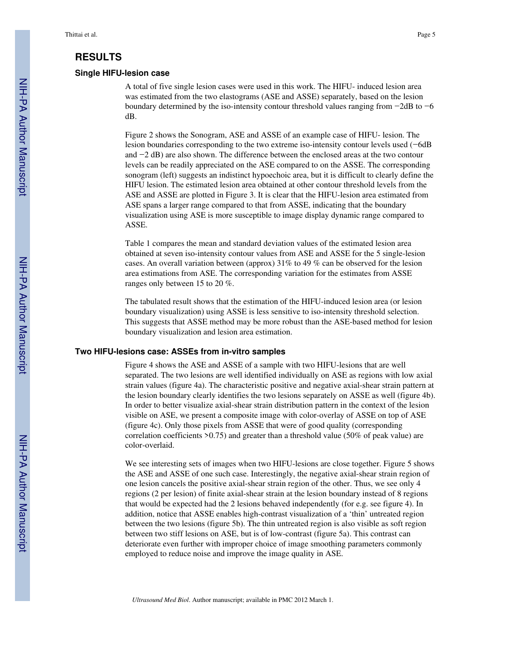# **RESULTS**

#### **Single HIFU-lesion case**

A total of five single lesion cases were used in this work. The HIFU- induced lesion area was estimated from the two elastograms (ASE and ASSE) separately, based on the lesion boundary determined by the iso-intensity contour threshold values ranging from −2dB to −6 dB.

Figure 2 shows the Sonogram, ASE and ASSE of an example case of HIFU- lesion. The lesion boundaries corresponding to the two extreme iso-intensity contour levels used (−6dB and −2 dB) are also shown. The difference between the enclosed areas at the two contour levels can be readily appreciated on the ASE compared to on the ASSE. The corresponding sonogram (left) suggests an indistinct hypoechoic area, but it is difficult to clearly define the HIFU lesion. The estimated lesion area obtained at other contour threshold levels from the ASE and ASSE are plotted in Figure 3. It is clear that the HIFU-lesion area estimated from ASE spans a larger range compared to that from ASSE, indicating that the boundary visualization using ASE is more susceptible to image display dynamic range compared to ASSE.

Table 1 compares the mean and standard deviation values of the estimated lesion area obtained at seven iso-intensity contour values from ASE and ASSE for the 5 single-lesion cases. An overall variation between (approx)  $31\%$  to 49 % can be observed for the lesion area estimations from ASE. The corresponding variation for the estimates from ASSE ranges only between 15 to 20 %.

The tabulated result shows that the estimation of the HIFU-induced lesion area (or lesion boundary visualization) using ASSE is less sensitive to iso-intensity threshold selection. This suggests that ASSE method may be more robust than the ASE-based method for lesion boundary visualization and lesion area estimation.

#### **Two HIFU-lesions case: ASSEs from in-vitro samples**

Figure 4 shows the ASE and ASSE of a sample with two HIFU-lesions that are well separated. The two lesions are well identified individually on ASE as regions with low axial strain values (figure 4a). The characteristic positive and negative axial-shear strain pattern at the lesion boundary clearly identifies the two lesions separately on ASSE as well (figure 4b). In order to better visualize axial-shear strain distribution pattern in the context of the lesion visible on ASE, we present a composite image with color-overlay of ASSE on top of ASE (figure 4c). Only those pixels from ASSE that were of good quality (corresponding correlation coefficients >0.75) and greater than a threshold value (50% of peak value) are color-overlaid.

We see interesting sets of images when two HIFU-lesions are close together. Figure 5 shows the ASE and ASSE of one such case. Interestingly, the negative axial-shear strain region of one lesion cancels the positive axial-shear strain region of the other. Thus, we see only 4 regions (2 per lesion) of finite axial-shear strain at the lesion boundary instead of 8 regions that would be expected had the 2 lesions behaved independently (for e.g. see figure 4). In addition, notice that ASSE enables high-contrast visualization of a 'thin' untreated region between the two lesions (figure 5b). The thin untreated region is also visible as soft region between two stiff lesions on ASE, but is of low-contrast (figure 5a). This contrast can deteriorate even further with improper choice of image smoothing parameters commonly employed to reduce noise and improve the image quality in ASE.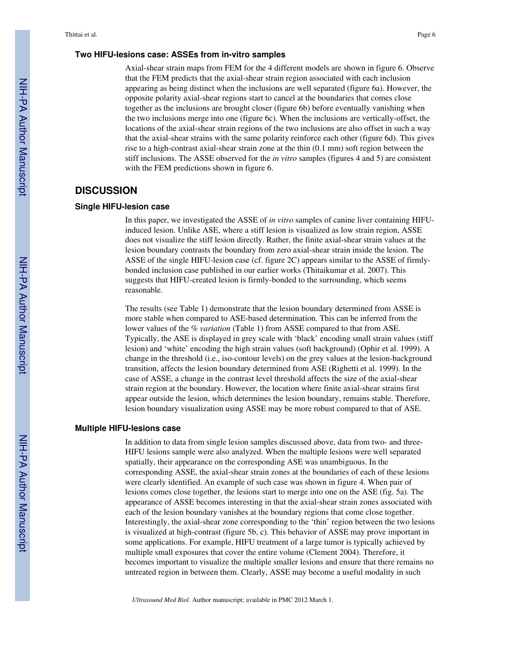## **Two HIFU-lesions case: ASSEs from in-vitro samples**

Axial-shear strain maps from FEM for the 4 different models are shown in figure 6. Observe that the FEM predicts that the axial-shear strain region associated with each inclusion appearing as being distinct when the inclusions are well separated (figure 6a). However, the opposite polarity axial-shear regions start to cancel at the boundaries that comes close together as the inclusions are brought closer (figure 6b) before eventually vanishing when the two inclusions merge into one (figure 6c). When the inclusions are vertically-offset, the locations of the axial-shear strain regions of the two inclusions are also offset in such a way that the axial-shear strains with the same polarity reinforce each other (figure 6d). This gives rise to a high-contrast axial-shear strain zone at the thin (0.1 mm) soft region between the stiff inclusions. The ASSE observed for the *in vitro* samples (figures 4 and 5) are consistent with the FEM predictions shown in figure 6.

## **DISCUSSION**

#### **Single HIFU-lesion case**

In this paper, we investigated the ASSE of *in vitro* samples of canine liver containing HIFUinduced lesion. Unlike ASE, where a stiff lesion is visualized as low strain region, ASSE does not visualize the stiff lesion directly. Rather, the finite axial-shear strain values at the lesion boundary contrasts the boundary from zero axial-shear strain inside the lesion. The ASSE of the single HIFU-lesion case (cf. figure 2C) appears similar to the ASSE of firmlybonded inclusion case published in our earlier works (Thitaikumar et al. 2007). This suggests that HIFU-created lesion is firmly-bonded to the surrounding, which seems reasonable.

The results (see Table 1) demonstrate that the lesion boundary determined from ASSE is more stable when compared to ASE-based determination. This can be inferred from the lower values of the *% variation* (Table 1) from ASSE compared to that from ASE. Typically, the ASE is displayed in grey scale with 'black' encoding small strain values (stiff lesion) and 'white' encoding the high strain values (soft background) (Ophir et al. 1999). A change in the threshold (i.e., iso-contour levels) on the grey values at the lesion-background transition, affects the lesion boundary determined from ASE (Righetti et al. 1999). In the case of ASSE, a change in the contrast level threshold affects the size of the axial-shear strain region at the boundary. However, the location where finite axial-shear strains first appear outside the lesion, which determines the lesion boundary, remains stable. Therefore, lesion boundary visualization using ASSE may be more robust compared to that of ASE.

#### **Multiple HIFU-lesions case**

In addition to data from single lesion samples discussed above, data from two- and three-HIFU lesions sample were also analyzed. When the multiple lesions were well separated spatially, their appearance on the corresponding ASE was unambiguous. In the corresponding ASSE, the axial-shear strain zones at the boundaries of each of these lesions were clearly identified. An example of such case was shown in figure 4. When pair of lesions comes close together, the lesions start to merge into one on the ASE (fig. 5a). The appearance of ASSE becomes interesting in that the axial-shear strain zones associated with each of the lesion boundary vanishes at the boundary regions that come close together. Interestingly, the axial-shear zone corresponding to the 'thin' region between the two lesions is visualized at high-contrast (figure 5b, c). This behavior of ASSE may prove important in some applications. For example, HIFU treatment of a large tumor is typically achieved by multiple small exposures that cover the entire volume (Clement 2004). Therefore, it becomes important to visualize the multiple smaller lesions and ensure that there remains no untreated region in between them. Clearly, ASSE may become a useful modality in such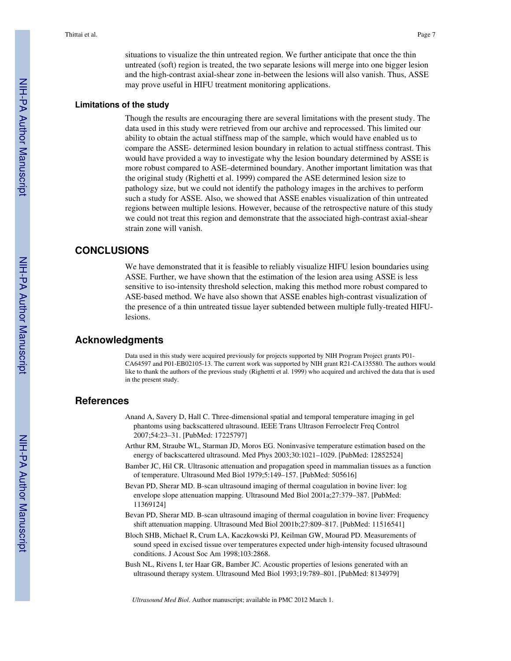situations to visualize the thin untreated region. We further anticipate that once the thin untreated (soft) region is treated, the two separate lesions will merge into one bigger lesion and the high-contrast axial-shear zone in-between the lesions will also vanish. Thus, ASSE may prove useful in HIFU treatment monitoring applications.

#### **Limitations of the study**

Though the results are encouraging there are several limitations with the present study. The data used in this study were retrieved from our archive and reprocessed. This limited our ability to obtain the actual stiffness map of the sample, which would have enabled us to compare the ASSE- determined lesion boundary in relation to actual stiffness contrast. This would have provided a way to investigate why the lesion boundary determined by ASSE is more robust compared to ASE–determined boundary. Another important limitation was that the original study (Righetti et al. 1999) compared the ASE determined lesion size to pathology size, but we could not identify the pathology images in the archives to perform such a study for ASSE. Also, we showed that ASSE enables visualization of thin untreated regions between multiple lesions. However, because of the retrospective nature of this study we could not treat this region and demonstrate that the associated high-contrast axial-shear strain zone will vanish.

# **CONCLUSIONS**

We have demonstrated that it is feasible to reliably visualize HIFU lesion boundaries using ASSE. Further, we have shown that the estimation of the lesion area using ASSE is less sensitive to iso-intensity threshold selection, making this method more robust compared to ASE-based method. We have also shown that ASSE enables high-contrast visualization of the presence of a thin untreated tissue layer subtended between multiple fully-treated HIFUlesions.

## **Acknowledgments**

Data used in this study were acquired previously for projects supported by NIH Program Project grants P01- CA64597 and P01-EB02105-13. The current work was supported by NIH grant R21-CA135580. The authors would like to thank the authors of the previous study (Righettti et al. 1999) who acquired and archived the data that is used in the present study.

# **References**

- Anand A, Savery D, Hall C. Three-dimensional spatial and temporal temperature imaging in gel phantoms using backscattered ultrasound. IEEE Trans Ultrason Ferroelectr Freq Control 2007;54:23–31. [PubMed: 17225797]
- Arthur RM, Straube WL, Starman JD, Moros EG. Noninvasive temperature estimation based on the energy of backscattered ultrasound. Med Phys 2003;30:1021–1029. [PubMed: 12852524]
- Bamber JC, Hil CR. Ultrasonic attenuation and propagation speed in mammalian tissues as a function of temperature. Ultrasound Med Biol 1979;5:149–157. [PubMed: 505616]
- Bevan PD, Sherar MD. B-scan ultrasound imaging of thermal coagulation in bovine liver: log envelope slope attenuation mapping. Ultrasound Med Biol 2001a;27:379–387. [PubMed: 11369124]
- Bevan PD, Sherar MD. B-scan ultrasound imaging of thermal coagulation in bovine liver: Frequency shift attenuation mapping. Ultrasound Med Biol 2001b;27:809–817. [PubMed: 11516541]
- Bloch SHB, Michael R, Crum LA, Kaczkowski PJ, Keilman GW, Mourad PD. Measurements of sound speed in excised tissue over temperatures expected under high-intensity focused ultrasound conditions. J Acoust Soc Am 1998;103:2868.
- Bush NL, Rivens I, ter Haar GR, Bamber JC. Acoustic properties of lesions generated with an ultrasound therapy system. Ultrasound Med Biol 1993;19:789–801. [PubMed: 8134979]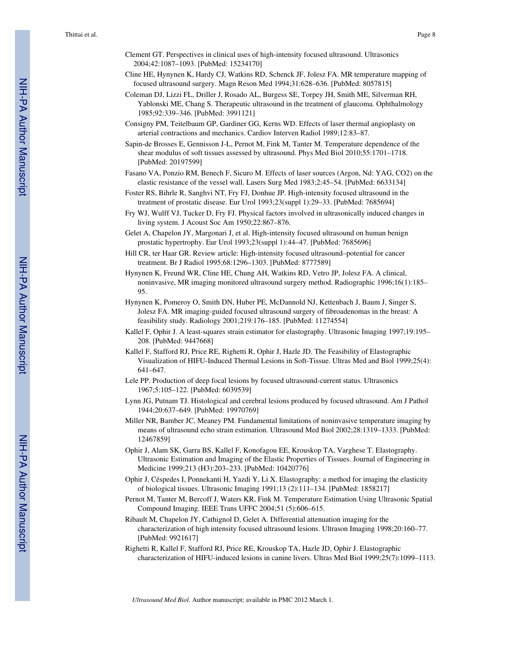- Clement GT. Perspectives in clinical uses of high-intensity focused ultrasound. Ultrasonics 2004;42:1087–1093. [PubMed: 15234170]
- Cline HE, Hynynen K, Hardy CJ, Watkins RD, Schenck JF, Jolesz FA. MR temperature mapping of focused ultrasound surgery. Magn Reson Med 1994;31:628–636. [PubMed: 8057815]
- Coleman DJ, Lizzi FL, Driller J, Rosado AL, Burgess SE, Torpey JH, Smith ME, Silverman RH, Yablonski ME, Chang S. Therapeutic ultrasound in the treatment of glaucoma. Ophthalmology 1985;92:339–346. [PubMed: 3991121]
- Consigny PM, Teitelbaum GP, Gardiner GG, Kerns WD. Effects of laser thermal angioplasty on arterial contractions and mechanics. Cardiov Interven Radiol 1989;12:83–87.
- Sapin-de Brosses E, Gennisson J-L, Pernot M, Fink M, Tanter M. Temperature dependence of the shear modulus of soft tissues assessed by ultrasound. Phys Med Biol 2010;55:1701–1718. [PubMed: 20197599]
- Fasano VA, Ponzio RM, Benech F, Sicuro M. Effects of laser sources (Argon, Nd: YAG, CO2) on the elastic resistance of the vessel wall. Lasers Surg Med 1983;2:45–54. [PubMed: 6633134]
- Foster RS, Bihrle R, Sanghvi NT, Fry FJ, Donhue JP. High-intensity focused ultrasound in the treatment of prostatic disease. Eur Urol 1993;23(suppl 1):29–33. [PubMed: 7685694]
- Fry WJ, Wulff VJ, Tucker D, Fry FJ. Physical factors involved in ultrasonically induced changes in living system. J Acoust Soc Am 1950;22:867–876.
- Gelet A, Chapelon JY, Margonari J, et al. High-intensity focused ultrasound on human benign prostatic hypertrophy. Eur Urol 1993;23(suppl 1):44–47. [PubMed: 7685696]
- Hill CR, ter Haar GR. Review article: High-intensity focused ultrasound–potential for cancer treatment. Br J Radiol 1995;68:1296–1303. [PubMed: 8777589]
- Hynynen K, Freund WR, Cline HE, Chung AH, Watkins RD, Vetro JP, Jolesz FA. A clinical, noninvasive, MR imaging monitored ultrasound surgery method. Radiographic 1996;16(1):185– 95.
- Hynynen K, Pomeroy O, Smith DN, Huber PE, McDannold NJ, Kettenbach J, Baum J, Singer S, Jolesz FA. MR imaging-guided focused ultrasound surgery of fibroadenomas in the breast: A feasibility study. Radiology 2001;219:176–185. [PubMed: 11274554]
- Kallel F, Ophir J. A least-squares strain estimator for elastography. Ultrasonic Imaging 1997;19:195– 208. [PubMed: 9447668]
- Kallel F, Stafford RJ, Price RE, Righetti R, Ophir J, Hazle JD. The Feasibility of Elastographic Visualization of HIFU-Induced Thermal Lesions in Soft-Tissue. Ultras Med and Biol 1999;25(4): 641–647.
- Lele PP. Production of deep focal lesions by focused ultrasound-current status. Ultrasonics 1967;5:105–122. [PubMed: 6039539]
- Lynn JG, Putnam TJ. Histological and cerebral lesions produced by focused ultrasound. Am J Pathol 1944;20:637–649. [PubMed: 19970769]
- Miller NR, Bamber JC, Meaney PM. Fundamental limitations of noninvasive temperature imaging by means of ultrasound echo strain estimation. Ultrasound Med Biol 2002;28:1319–1333. [PubMed: 12467859]
- Ophir J, Alam SK, Garra BS, Kallel F, Konofagou EE, Krouskop TA, Varghese T. Elastography. Ultrasonic Estimation and Imaging of the Elastic Properties of Tissues. Journal of Engineering in Medicine 1999;213 (H3):203–233. [PubMed: 10420776]
- Ophir J, Céspedes I, Ponnekanti H, Yazdi Y, Li X. Elastography: a method for imaging the elasticity of biological tissues. Ultrasonic Imaging 1991;13 (2):111–134. [PubMed: 1858217]
- Pernot M, Tanter M, Bercoff J, Waters KR, Fink M. Temperature Estimation Using Ultrasonic Spatial Compound Imaging. IEEE Trans UFFC 2004;51 (5):606–615.
- Ribault M, Chapelon JY, Cathignol D, Gelet A. Differential attenuation imaging for the characterization of high intensity focused ultrasound lesions. Ultrason Imaging 1998;20:160–77. [PubMed: 9921617]
- Righetti R, Kallel F, Stafford RJ, Price RE, Krouskop TA, Hazle JD, Ophir J. Elastographic characterization of HIFU-induced lesions in canine livers. Ultras Med Biol 1999;25(7):1099–1113.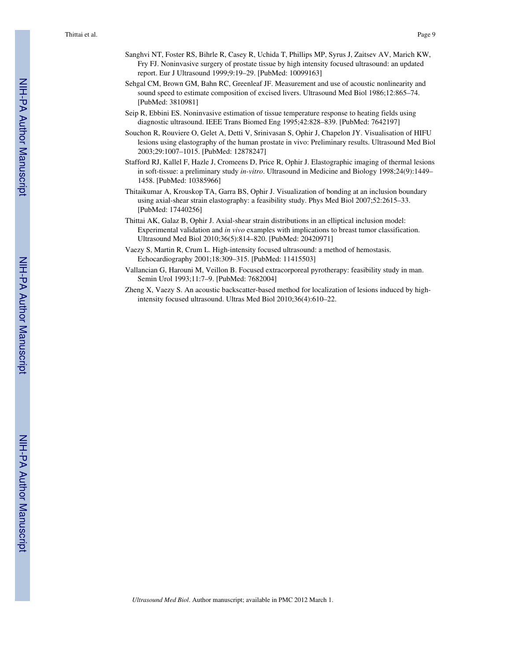- Sanghvi NT, Foster RS, Bihrle R, Casey R, Uchida T, Phillips MP, Syrus J, Zaitsev AV, Marich KW, Fry FJ. Noninvasive surgery of prostate tissue by high intensity focused ultrasound: an updated report. Eur J Ultrasound 1999;9:19–29. [PubMed: 10099163]
- Sehgal CM, Brown GM, Bahn RC, Greenleaf JF. Measurement and use of acoustic nonlinearity and sound speed to estimate composition of excised livers. Ultrasound Med Biol 1986;12:865–74. [PubMed: 3810981]
- Seip R, Ebbini ES. Noninvasive estimation of tissue temperature response to heating fields using diagnostic ultrasound. IEEE Trans Biomed Eng 1995;42:828–839. [PubMed: 7642197]
- Souchon R, Rouviere O, Gelet A, Detti V, Srinivasan S, Ophir J, Chapelon JY. Visualisation of HIFU lesions using elastography of the human prostate in vivo: Preliminary results. Ultrasound Med Biol 2003;29:1007–1015. [PubMed: 12878247]
- Stafford RJ, Kallel F, Hazle J, Cromeens D, Price R, Ophir J. Elastographic imaging of thermal lesions in soft-tissue: a preliminary study *in-vitro*. Ultrasound in Medicine and Biology 1998;24(9):1449– 1458. [PubMed: 10385966]
- Thitaikumar A, Krouskop TA, Garra BS, Ophir J. Visualization of bonding at an inclusion boundary using axial-shear strain elastography: a feasibility study. Phys Med Biol 2007;52:2615–33. [PubMed: 17440256]
- Thittai AK, Galaz B, Ophir J. Axial-shear strain distributions in an elliptical inclusion model: Experimental validation and *in vivo* examples with implications to breast tumor classification. Ultrasound Med Biol 2010;36(5):814–820. [PubMed: 20420971]
- Vaezy S, Martin R, Crum L. High-intensity focused ultrasound: a method of hemostasis. Echocardiography 2001;18:309–315. [PubMed: 11415503]
- Vallancian G, Harouni M, Veillon B. Focused extracorporeal pyrotherapy: feasibility study in man. Semin Urol 1993;11:7–9. [PubMed: 7682004]
- Zheng X, Vaezy S. An acoustic backscatter-based method for localization of lesions induced by highintensity focused ultrasound. Ultras Med Biol 2010;36(4):610–22.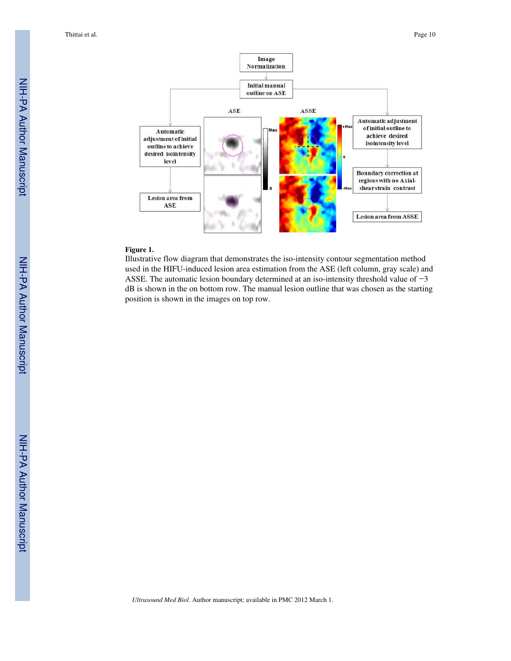Thittai et al. Page 10



#### **Figure 1.**

Illustrative flow diagram that demonstrates the iso-intensity contour segmentation method used in the HIFU-induced lesion area estimation from the ASE (left column, gray scale) and ASSE. The automatic lesion boundary determined at an iso-intensity threshold value of −3 dB is shown in the on bottom row. The manual lesion outline that was chosen as the starting position is shown in the images on top row.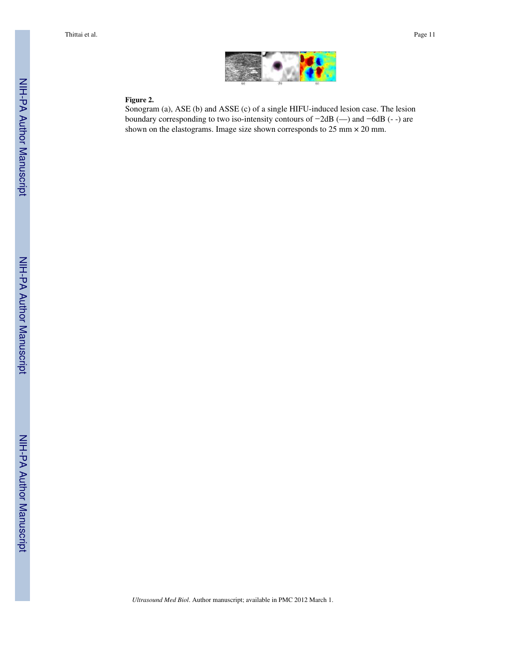

## **Figure 2.**

Sonogram (a), ASE (b) and ASSE (c) of a single HIFU-induced lesion case. The lesion boundary corresponding to two iso-intensity contours of −2dB (—) and −6dB (- -) are shown on the elastograms. Image size shown corresponds to 25 mm × 20 mm.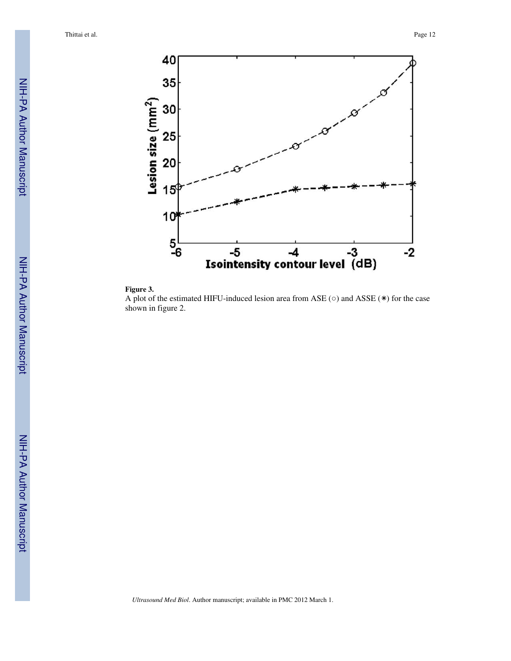Thittai et al. Page 12





A plot of the estimated HIFU-induced lesion area from ASE ( $\circ$ ) and ASSE (\*) for the case shown in figure 2.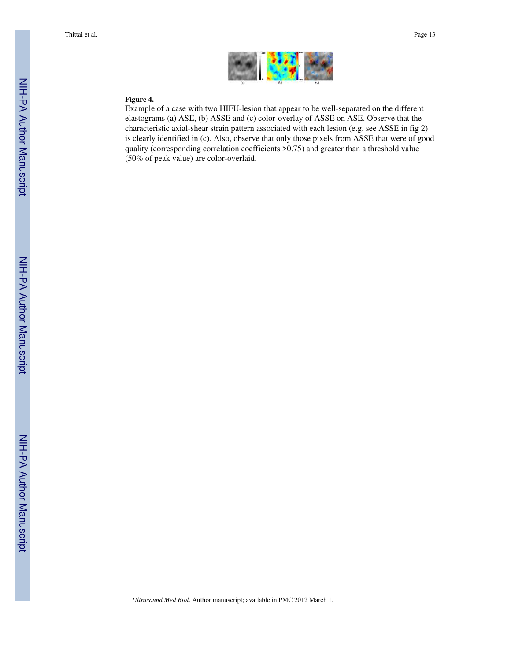

#### **Figure 4.**

Example of a case with two HIFU-lesion that appear to be well-separated on the different elastograms (a) ASE, (b) ASSE and (c) color-overlay of ASSE on ASE. Observe that the characteristic axial-shear strain pattern associated with each lesion (e.g. see ASSE in fig 2) is clearly identified in (c). Also, observe that only those pixels from ASSE that were of good quality (corresponding correlation coefficients >0.75) and greater than a threshold value (50% of peak value) are color-overlaid.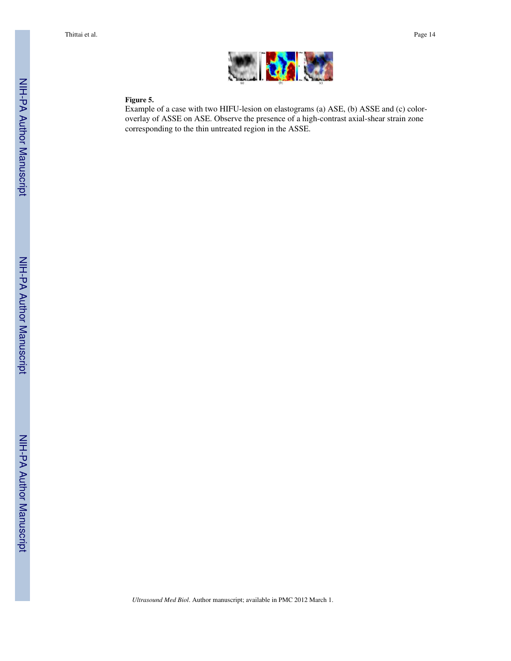

# **Figure 5.**

Example of a case with two HIFU-lesion on elastograms (a) ASE, (b) ASSE and (c) coloroverlay of ASSE on ASE. Observe the presence of a high-contrast axial-shear strain zone corresponding to the thin untreated region in the ASSE.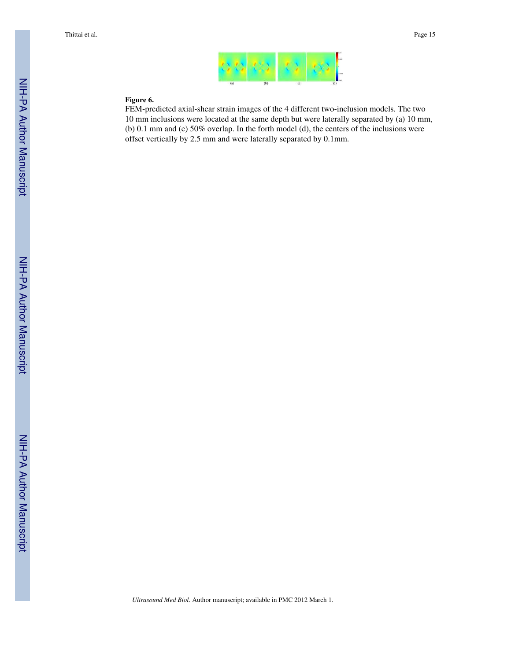

## **Figure 6.**

FEM-predicted axial-shear strain images of the 4 different two-inclusion models. The two 10 mm inclusions were located at the same depth but were laterally separated by (a) 10 mm, (b) 0.1 mm and (c) 50% overlap. In the forth model (d), the centers of the inclusions were offset vertically by 2.5 mm and were laterally separated by 0.1mm.